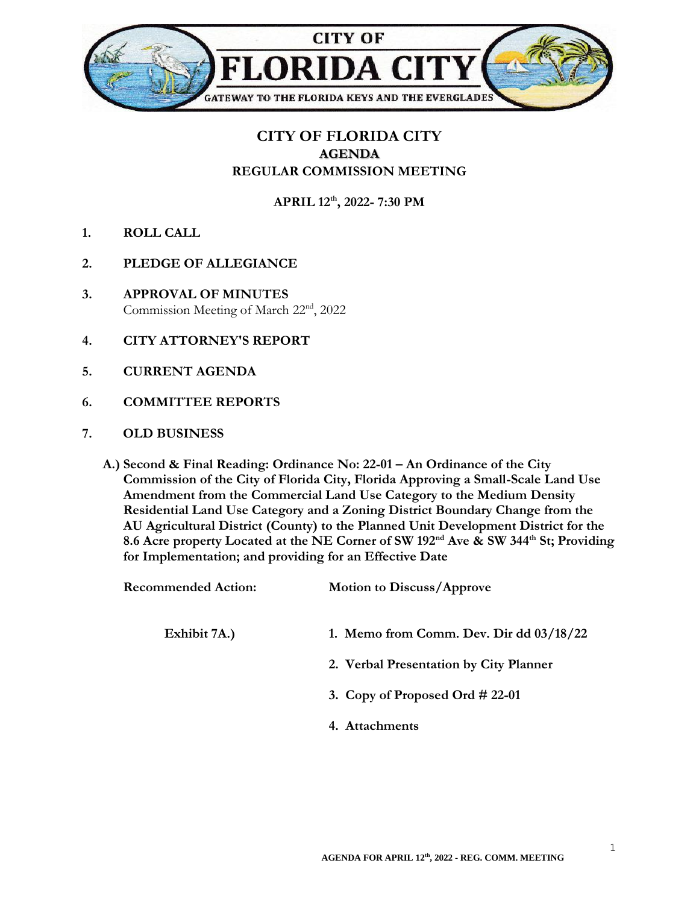

## **CITY OF FLORIDA CITY AGENDA REGULAR COMMISSION MEETING**

**APRIL 12th , 2022- 7:30 PM**

- **1. ROLL CALL**
- **2. PLEDGE OF ALLEGIANCE**
- **3. APPROVAL OF MINUTES** Commission Meeting of March 22nd , 2022
- **4. CITY ATTORNEY'S REPORT**
- **5. CURRENT AGENDA**
- **6. COMMITTEE REPORTS**
- **7. OLD BUSINESS**
	- **A.) Second & Final Reading: Ordinance No: 22-01 – An Ordinance of the City Commission of the City of Florida City, Florida Approving a Small-Scale Land Use Amendment from the Commercial Land Use Category to the Medium Density Residential Land Use Category and a Zoning District Boundary Change from the AU Agricultural District (County) to the Planned Unit Development District for the 8.6 Acre property Located at the NE Corner of SW 192nd Ave & SW 344th St; Providing for Implementation; and providing for an Effective Date**

| <b>Recommended Action:</b> | <b>Motion to Discuss/Approve</b>          |
|----------------------------|-------------------------------------------|
| Exhibit 7A.)               | 1. Memo from Comm. Dev. Dir dd $03/18/22$ |
|                            | 2. Verbal Presentation by City Planner    |
|                            | 3. Copy of Proposed Ord $\#$ 22-01        |
|                            | 4. Attachments                            |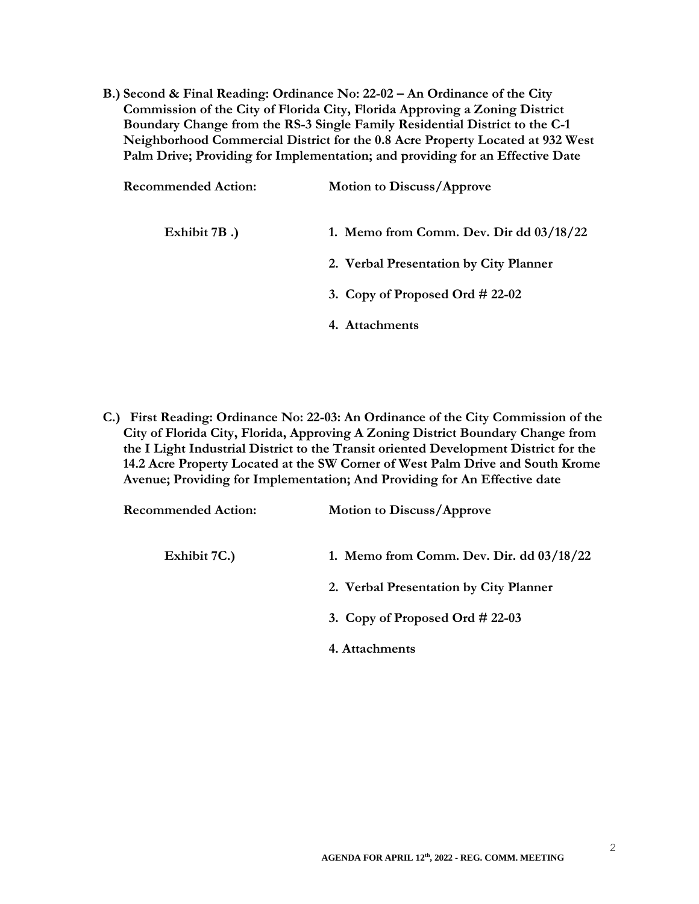**B.) Second & Final Reading: Ordinance No: 22-02 – An Ordinance of the City Commission of the City of Florida City, Florida Approving a Zoning District Boundary Change from the RS-3 Single Family Residential District to the C-1 Neighborhood Commercial District for the 0.8 Acre Property Located at 932 West Palm Drive; Providing for Implementation; and providing for an Effective Date**

| <b>Recommended Action:</b> | <b>Motion to Discuss/Approve</b>          |
|----------------------------|-------------------------------------------|
| Exhibit 7B.)               | 1. Memo from Comm. Dev. Dir dd $03/18/22$ |
|                            | 2. Verbal Presentation by City Planner    |
|                            | 3. Copy of Proposed Ord $\#$ 22-02        |
|                            | 4. Attachments                            |

**C.) First Reading: Ordinance No: 22-03: An Ordinance of the City Commission of the City of Florida City, Florida, Approving A Zoning District Boundary Change from the I Light Industrial District to the Transit oriented Development District for the 14.2 Acre Property Located at the SW Corner of West Palm Drive and South Krome Avenue; Providing for Implementation; And Providing for An Effective date**

| <b>Recommended Action:</b> | <b>Motion to Discuss/Approve</b>            |
|----------------------------|---------------------------------------------|
| Exhibit 7C.)               | 1. Memo from Comm. Dev. Dir. $dd\,03/18/22$ |
|                            | 2. Verbal Presentation by City Planner      |
|                            | 3. Copy of Proposed Ord $\#$ 22-03          |
|                            | 4. Attachments                              |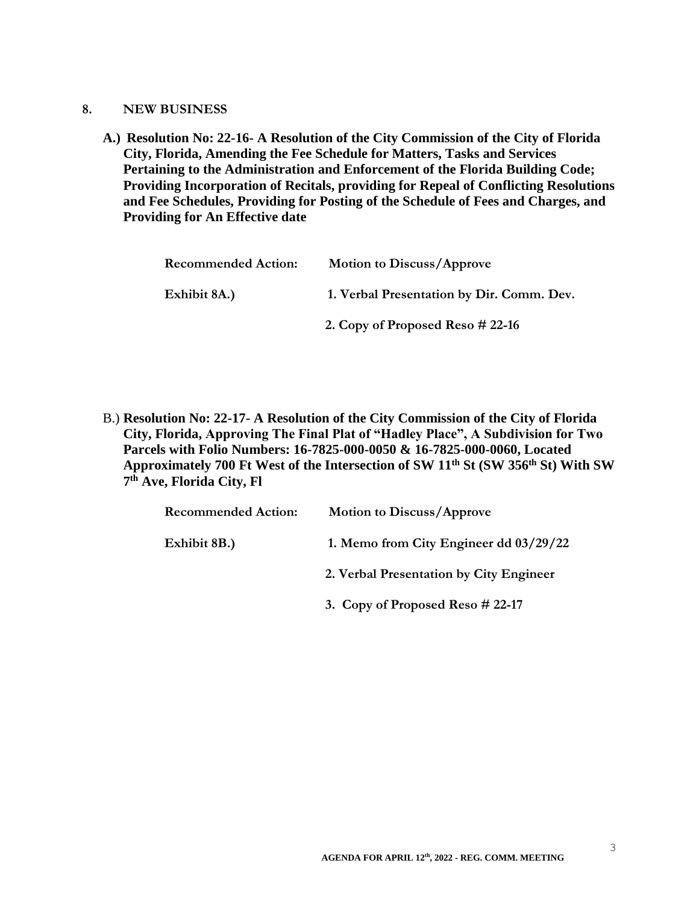- **8. NEW BUSINESS**
	- **A.) Resolution No: 22-16- A Resolution of the City Commission of the City of Florida City, Florida, Amending the Fee Schedule for Matters, Tasks and Services Pertaining to the Administration and Enforcement of the Florida Building Code; Providing Incorporation of Recitals, providing for Repeal of Conflicting Resolutions and Fee Schedules, Providing for Posting of the Schedule of Fees and Charges, and Providing for An Effective date**

| <b>Recommended Action:</b> | <b>Motion to Discuss/Approve</b>          |
|----------------------------|-------------------------------------------|
| Exhibit 8A.)               | 1. Verbal Presentation by Dir. Comm. Dev. |
|                            | 2. Copy of Proposed Reso $\#$ 22-16       |

B.) **Resolution No: 22-17- A Resolution of the City Commission of the City of Florida City, Florida, Approving The Final Plat of "Hadley Place", A Subdivision for Two Parcels with Folio Numbers: 16-7825-000-0050 & 16-7825-000-0060, Located Approximately 700 Ft West of the Intersection of SW 11th St (SW 356th St) With SW 7 th Ave, Florida City, Fl**

| <b>Recommended Action:</b> | <b>Motion to Discuss/Approve</b>        |
|----------------------------|-----------------------------------------|
| Exhibit 8B.)               | 1. Memo from City Engineer dd 03/29/22  |
|                            | 2. Verbal Presentation by City Engineer |
|                            | 3. Copy of Proposed Reso # 22-17        |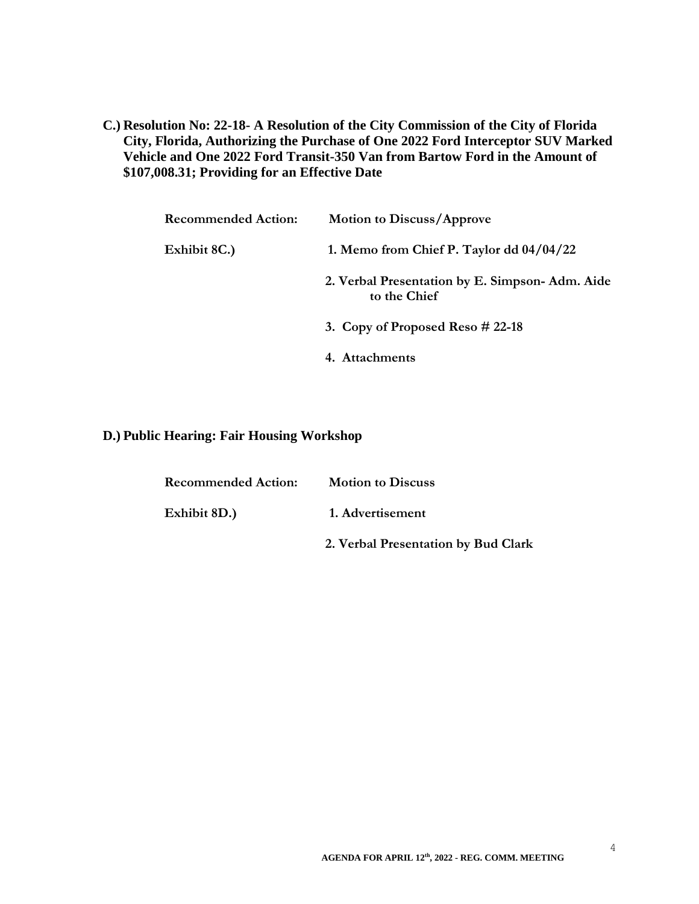**C.) Resolution No: 22-18- A Resolution of the City Commission of the City of Florida City, Florida, Authorizing the Purchase of One 2022 Ford Interceptor SUV Marked Vehicle and One 2022 Ford Transit-350 Van from Bartow Ford in the Amount of \$107,008.31; Providing for an Effective Date**

| <b>Recommended Action:</b> | <b>Motion to Discuss/Approve</b>                               |
|----------------------------|----------------------------------------------------------------|
| Exhibit 8C.)               | 1. Memo from Chief P. Taylor dd $04/04/22$                     |
|                            | 2. Verbal Presentation by E. Simpson-Adm. Aide<br>to the Chief |
|                            | 3. Copy of Proposed Reso $\#$ 22-18                            |
|                            | 4. Attachments                                                 |

## **D.) Public Hearing: Fair Housing Workshop**

| <b>Recommended Action:</b> | <b>Motion to Discuss</b>            |
|----------------------------|-------------------------------------|
| Exhibit 8D.)               | 1. Advertisement                    |
|                            | 2. Verbal Presentation by Bud Clark |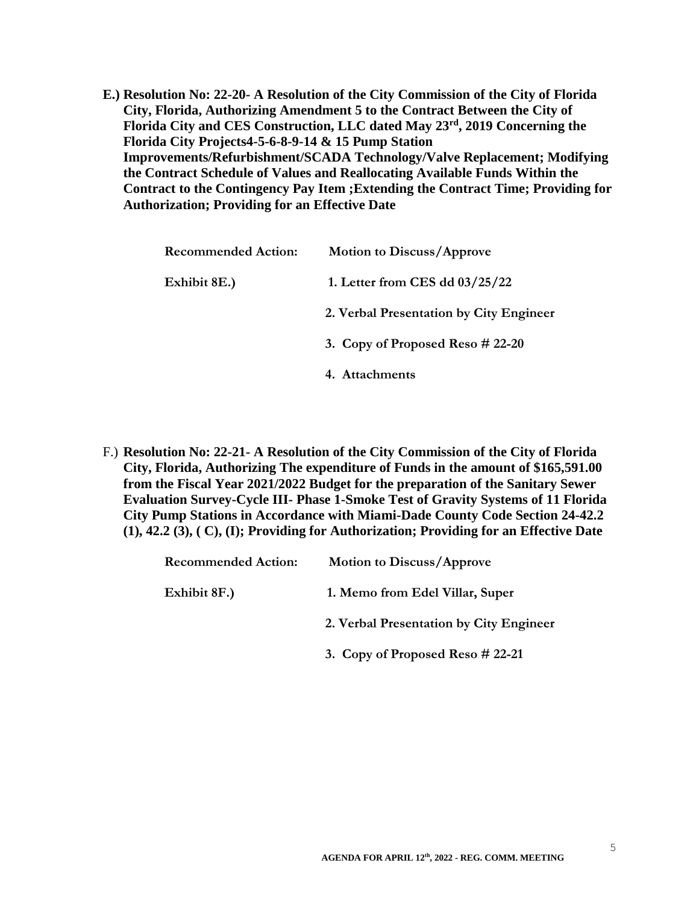**E.) Resolution No: 22-20- A Resolution of the City Commission of the City of Florida City, Florida, Authorizing Amendment 5 to the Contract Between the City of Florida City and CES Construction, LLC dated May 23rd, 2019 Concerning the Florida City Projects4-5-6-8-9-14 & 15 Pump Station Improvements/Refurbishment/SCADA Technology/Valve Replacement; Modifying the Contract Schedule of Values and Reallocating Available Funds Within the Contract to the Contingency Pay Item ;Extending the Contract Time; Providing for Authorization; Providing for an Effective Date**

| <b>Recommended Action:</b> | <b>Motion to Discuss/Approve</b>        |
|----------------------------|-----------------------------------------|
| Exhibit 8E.)               | 1. Letter from CES dd $03/25/22$        |
|                            | 2. Verbal Presentation by City Engineer |
|                            | 3. Copy of Proposed Reso $\#$ 22-20     |
|                            | 4. Attachments                          |

F.) **Resolution No: 22-21- A Resolution of the City Commission of the City of Florida City, Florida, Authorizing The expenditure of Funds in the amount of \$165,591.00 from the Fiscal Year 2021/2022 Budget for the preparation of the Sanitary Sewer Evaluation Survey-Cycle III- Phase 1-Smoke Test of Gravity Systems of 11 Florida City Pump Stations in Accordance with Miami-Dade County Code Section 24-42.2 (1), 42.2 (3), ( C), (I); Providing for Authorization; Providing for an Effective Date**

| <b>Motion to Discuss/Approve</b>        |
|-----------------------------------------|
| 1. Memo from Edel Villar, Super         |
| 2. Verbal Presentation by City Engineer |
|                                         |

 **3. Copy of Proposed Reso # 22-21**